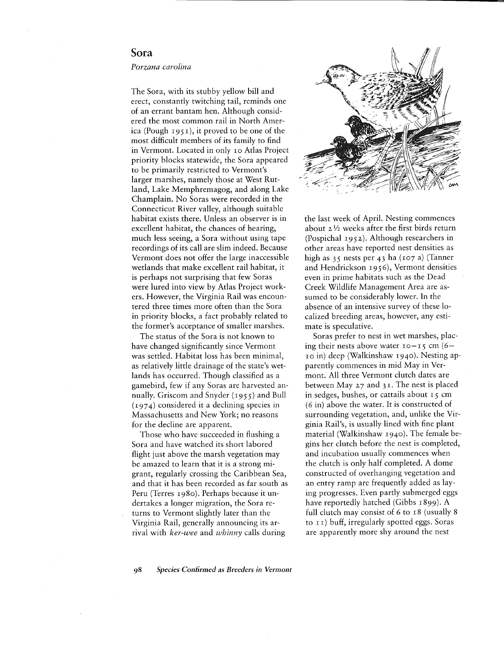## **Sora**

## *Porzana carolina*

The Sora, with its stubby yellow bill and erect, constantly twitching tail, reminds one of an errant bantam hen. Although considered the most common rail in North America (Pough  $1951$ ), it proved to be one of the most difficult members of its family to find in Vermont. Located in only 10 Atlas Project priority blocks statewide, the Sora appeared to be primarily restricted to Vermont's larger marshes, namely those at West Rutland, Lake Memphremagog, and along Lake Champlain. No Soras were recorded in the Connecticut River valley, although suitable habitat exists there. Unless an observer is in excellent habitat, the chances of hearing, much less seeing, a Sora without using tape recordings of its call are slim indeed. Because Vermont does not offer the large inaccessible wetlands that make excellent rail habitat, it is perhaps not surprising that few Soras were lured into view by Atlas Project workers. However, the Virginia Rail was encountered three times more often than the Sora in priority blocks, a fact probably related to the former's acceptance of smaller marshes.

The status of the Sora is not known to have changed significantly since Vermont was settled. Habitat loss has been minimal, as relatively little drainage of the state's wetlands has occurred. Though classified as a gamebird, few if any Soras are harvested annually. Griscom and Snyder (1955) and Bull (1974) considered it a declining species in Massachusetts and New York; no reasons for the decline are apparent.

Those who have succeeded in flushing a Sora and have watched its short labored flight just above the marsh vegetation may be amazed to learn that it is a strong migrant, regularly crossing the Caribbean Sea, and that it has been recorded as far south as Peru (Terres 1980). Perhaps because it undertakes a longer migration, the Sora returns to Vermont slightly later than the Virginia Rail, generally announcing its arrival with *ker-wee* and *whinny* calls during



the last week of April. Nesting commences about  $2\frac{1}{2}$  weeks after the first birds return (Pospichal 1952). Although researchers in other areas have reported nest densities as high as  $35$  nests per 43 ha (107 a) (Tanner and Hendrickson 1956), Vermont densities even in prime habitats such as the Dead Creek Wildlife Management Area are assumed to be considerably lower. In the absence of an intensive survey of these localized breeding areas, however, any estimate is speculative.

Soras prefer to nest in wet marshes, placing their nests above water  $10 - 15$  cm  $(6 -$ 10 in) deep (Walkinshaw 1940). Nesting apparently commences in mid May in Vermont. All three Vermont clutch dates are between May  $27$  and  $31$ . The nest is placed in sedges, bushes, or cattails about 15 cm (6 in) above the water. It is constructed of surrounding vegetation, and, unlike the Virginia Rail's, is usually lined with fine plant material (Walkinshaw 1940). The female begins her clutch before the nest is completed, and incubation usually commences when the clutch is only half completed. A dome constructed of overhanging vegetation and an entry ramp are frequently added as laying progresses. Even partly submerged eggs have reportedly hatched (Gibbs 1899). A full clutch may consist of 6 to 18 (usually 8 to II) buff, irregularly spotted eggs. Soras are apparently more shy around the nest

*98 Species Confirmed as Breeders in Vermont*